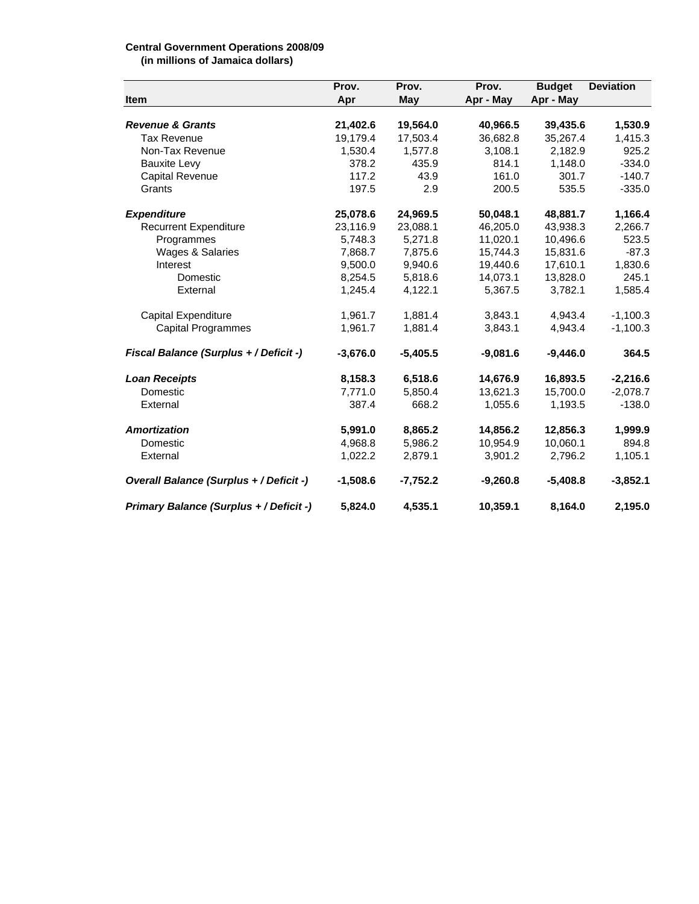## **Central Government Operations 2008/09**

**(in millions of Jamaica dollars)**

| Item                                    | Prov.<br>Apr | Prov.<br>May | Prov.<br>Apr - May | <b>Budget</b><br>Apr - May | <b>Deviation</b> |
|-----------------------------------------|--------------|--------------|--------------------|----------------------------|------------------|
|                                         |              |              |                    |                            |                  |
| <b>Tax Revenue</b>                      | 19,179.4     | 17,503.4     | 36,682.8           | 35,267.4                   | 1,415.3          |
| Non-Tax Revenue                         | 1,530.4      | 1,577.8      | 3,108.1            | 2,182.9                    | 925.2            |
| <b>Bauxite Levy</b>                     | 378.2        | 435.9        | 814.1              | 1,148.0                    | $-334.0$         |
| Capital Revenue                         | 117.2        | 43.9         | 161.0              | 301.7                      | $-140.7$         |
| Grants                                  | 197.5        | 2.9          | 200.5              | 535.5                      | $-335.0$         |
| <b>Expenditure</b>                      | 25,078.6     | 24,969.5     | 50,048.1           | 48,881.7                   | 1,166.4          |
| <b>Recurrent Expenditure</b>            | 23,116.9     | 23,088.1     | 46,205.0           | 43,938.3                   | 2,266.7          |
| Programmes                              | 5,748.3      | 5,271.8      | 11,020.1           | 10,496.6                   | 523.5            |
| Wages & Salaries                        | 7,868.7      | 7,875.6      | 15,744.3           | 15,831.6                   | $-87.3$          |
| Interest                                | 9,500.0      | 9,940.6      | 19,440.6           | 17,610.1                   | 1,830.6          |
| Domestic                                | 8,254.5      | 5,818.6      | 14,073.1           | 13,828.0                   | 245.1            |
| External                                | 1,245.4      | 4,122.1      | 5,367.5            | 3,782.1                    | 1,585.4          |
| Capital Expenditure                     | 1,961.7      | 1,881.4      | 3,843.1            | 4,943.4                    | $-1,100.3$       |
| <b>Capital Programmes</b>               | 1,961.7      | 1,881.4      | 3,843.1            | 4,943.4                    | $-1,100.3$       |
| Fiscal Balance (Surplus + / Deficit -)  | $-3,676.0$   | $-5,405.5$   | $-9,081.6$         | $-9,446.0$                 | 364.5            |
| <b>Loan Receipts</b>                    | 8,158.3      | 6,518.6      | 14,676.9           | 16,893.5                   | $-2,216.6$       |
| Domestic                                | 7,771.0      | 5.850.4      | 13,621.3           | 15,700.0                   | $-2.078.7$       |
| External                                | 387.4        | 668.2        | 1,055.6            | 1,193.5                    | $-138.0$         |
| <b>Amortization</b>                     | 5,991.0      | 8,865.2      | 14,856.2           | 12,856.3                   | 1,999.9          |
| Domestic                                | 4,968.8      | 5,986.2      | 10,954.9           | 10,060.1                   | 894.8            |
| External                                | 1,022.2      | 2,879.1      | 3,901.2            | 2,796.2                    | 1,105.1          |
| Overall Balance (Surplus + / Deficit -) | $-1,508.6$   | $-7,752.2$   | $-9,260.8$         | $-5,408.8$                 | $-3,852.1$       |
| Primary Balance (Surplus + / Deficit -) | 5,824.0      | 4,535.1      | 10,359.1           | 8,164.0                    | 2,195.0          |